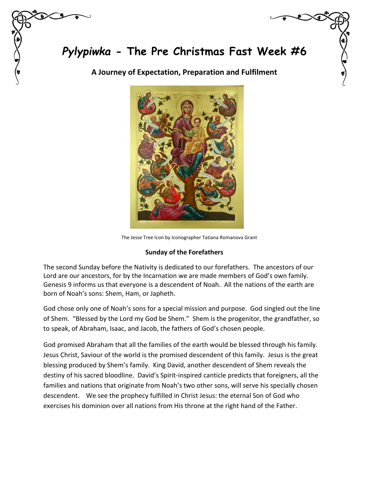*Pylypiwka* **- The Pre Christmas Fast Week #6**

**A Journey of Expectation, Preparation and Fulfilment**



The Jesse Tree Icon by Iconographer Tatiana Romanova Grant

## **Sunday of the Forefathers**

The second Sunday before the Nativity is dedicated to our forefathers. The ancestors of our Lord are our ancestors, for by the Incarnation we are made members of God's own family. Genesis 9 informs us that everyone is a descendent of Noah. All the nations of the earth are born of Noah's sons: Shem, Ham, or Japheth.

God chose only one of Noah's sons for a special mission and purpose. God singled out the line of Shem. "Blessed by the Lord my God be Shem." Shem is the progenitor, the grandfather, so to speak, of Abraham, Isaac, and Jacob, the fathers of God's chosen people.

God promised Abraham that all the families of the earth would be blessed through his family. Jesus Christ, Saviour of the world is the promised descendent of this family. Jesus is the great blessing produced by Shem's family. King David, another descendent of Shem reveals the destiny of his sacred bloodline. David's Spirit-inspired canticle predicts that foreigners, all the families and nations that originate from Noah's two other sons, will serve his specially chosen descendent. We see the prophecy fulfilled in Christ Jesus: the eternal Son of God who exercises his dominion over all nations from His throne at the right hand of the Father.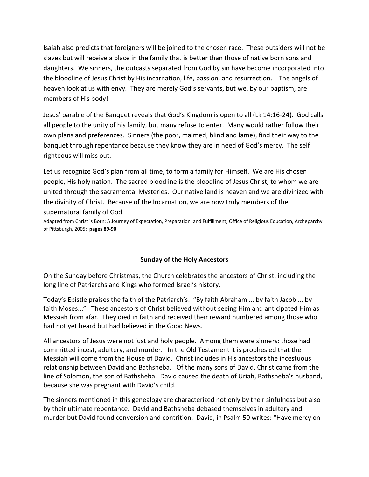Isaiah also predicts that foreigners will be joined to the chosen race. These outsiders will not be slaves but will receive a place in the family that is better than those of native born sons and daughters. We sinners, the outcasts separated from God by sin have become incorporated into the bloodline of Jesus Christ by His incarnation, life, passion, and resurrection. The angels of heaven look at us with envy. They are merely God's servants, but we, by our baptism, are members of His body!

Jesus' parable of the Banquet reveals that God's Kingdom is open to all (Lk 14:16-24). God calls all people to the unity of his family, but many refuse to enter. Many would rather follow their own plans and preferences. Sinners (the poor, maimed, blind and lame), find their way to the banquet through repentance because they know they are in need of God's mercy. The self righteous will miss out.

Let us recognize God's plan from all time, to form a family for Himself. We are His chosen people, His holy nation. The sacred bloodline is the bloodline of Jesus Christ, to whom we are united through the sacramental Mysteries. Our native land is heaven and we are divinized with the divinity of Christ. Because of the Incarnation, we are now truly members of the supernatural family of God.

Adapted from Christ is Born: A Journey of Expectation, Preparation, and Fulfillment; Office of Religious Education, Archeparchy of Pittsburgh, 2005: **pages 89-90**

## **Sunday of the Holy Ancestors**

On the Sunday before Christmas, the Church celebrates the ancestors of Christ, including the long line of Patriarchs and Kings who formed Israel's history.

Today's Epistle praises the faith of the Patriarch's: "By faith Abraham ... by faith Jacob ... by faith Moses..." These ancestors of Christ believed without seeing Him and anticipated Him as Messiah from afar. They died in faith and received their reward numbered among those who had not yet heard but had believed in the Good News.

All ancestors of Jesus were not just and holy people. Among them were sinners: those had committed incest, adultery, and murder. In the Old Testament it is prophesied that the Messiah will come from the House of David. Christ includes in His ancestors the incestuous relationship between David and Bathsheba. Of the many sons of David, Christ came from the line of Solomon, the son of Bathsheba. David caused the death of Uriah, Bathsheba's husband, because she was pregnant with David's child.

The sinners mentioned in this genealogy are characterized not only by their sinfulness but also by their ultimate repentance. David and Bathsheba debased themselves in adultery and murder but David found conversion and contrition. David, in Psalm 50 writes: "Have mercy on